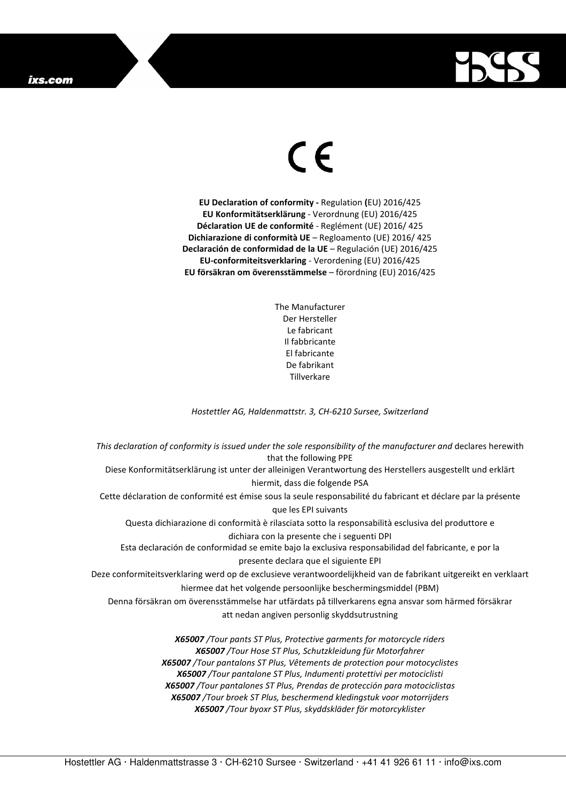## ixs.com



## $\in$

**EU Declaration of conformity -** Regulation **(**EU) 2016/425 **EU Konformitätserklärung** - Verordnung (EU) 2016/425 **Déclaration UE de conformité** - Reglément (UE) 2016/ 425 **Dichiarazione di conformità UE** – Regloamento (UE) 2016/ 425 **Declaración de conformidad de la UE** – Regulación (UE) 2016/425 **EU-conformiteitsverklaring** - Verordening (EU) 2016/425 **EU försäkran om överensstämmelse** – förordning (EU) 2016/425

> The Manufacturer Der Hersteller Le fabricant Il fabbricante El fabricante De fabrikant **Tillverkare**

*Hostettler AG, Haldenmattstr. 3, CH-6210 Sursee, Switzerland* 

*This declaration of conformity is issued under the sole responsibility of the manufacturer and* declares herewith that the following PPE Diese Konformitätserklärung ist unter der alleinigen Verantwortung des Herstellers ausgestellt und erklärt hiermit, dass die folgende PSA Cette déclaration de conformité est émise sous la seule responsabilité du fabricant et déclare par la présente que les EPI suivants Questa dichiarazione di conformità è rilasciata sotto la responsabilità esclusiva del produttore e dichiara con la presente che i seguenti DPI Esta declaración de conformidad se emite bajo la exclusiva responsabilidad del fabricante, e por la presente declara que el siguiente EPI Deze conformiteitsverklaring werd op de exclusieve verantwoordelijkheid van de fabrikant uitgereikt en verklaart hiermee dat het volgende persoonlijke beschermingsmiddel (PBM) Denna försäkran om överensstämmelse har utfärdats på tillverkarens egna ansvar som härmed försäkrar att nedan angiven personlig skyddsutrustning *X65007 /Tour pants ST Plus, Protective garments for motorcycle riders X65007 /Tour Hose ST Plus, Schutzkleidung für Motorfahrer X65007 /Tour pantalons ST Plus, Vêtements de protection pour motocyclistes X65007 /Tour pantalone ST Plus, Indumenti protettivi per motociclisti* 

*X65007 /Tour pantalones ST Plus, Prendas de protección para motociclistas X65007 /Tour broek ST Plus, beschermend kledingstuk voor motorrijders* 

*X65007 /Tour byoxr ST Plus, skyddskläder för motorcyklister*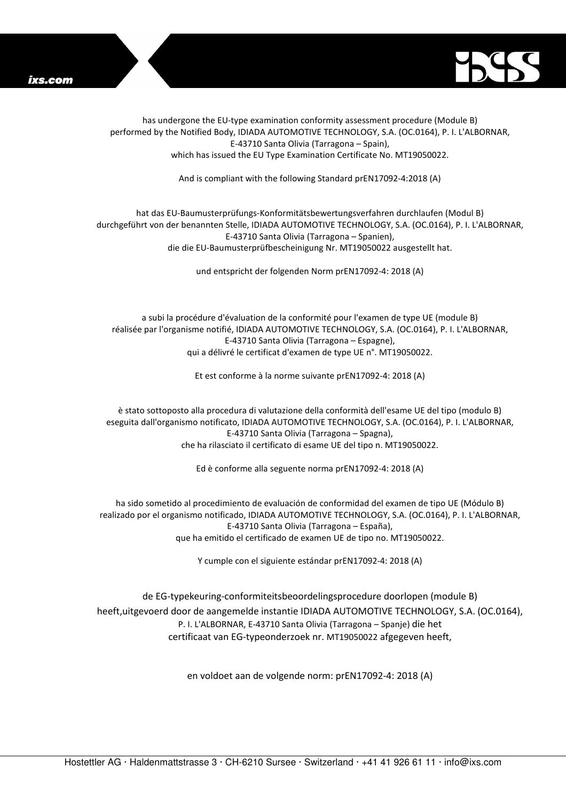



has undergone the EU-type examination conformity assessment procedure (Module B) performed by the Notified Body, IDIADA AUTOMOTIVE TECHNOLOGY, S.A. (OC.0164), P. I. L'ALBORNAR, E-43710 Santa Olivia (Tarragona – Spain), which has issued the EU Type Examination Certificate No. MT19050022.

And is compliant with the following Standard prEN17092-4:2018 (A)

## hat das EU-Baumusterprüfungs-Konformitätsbewertungsverfahren durchlaufen (Modul B) durchgeführt von der benannten Stelle, IDIADA AUTOMOTIVE TECHNOLOGY, S.A. (OC.0164), P. I. L'ALBORNAR, E-43710 Santa Olivia (Tarragona – Spanien), die die EU-Baumusterprüfbescheinigung Nr. MT19050022 ausgestellt hat.

und entspricht der folgenden Norm prEN17092-4: 2018 (A)

a subi la procédure d'évaluation de la conformité pour l'examen de type UE (module B) réalisée par l'organisme notifié, IDIADA AUTOMOTIVE TECHNOLOGY, S.A. (OC.0164), P. I. L'ALBORNAR, E-43710 Santa Olivia (Tarragona – Espagne), qui a délivré le certificat d'examen de type UE n°. MT19050022.

Et est conforme à la norme suivante prEN17092-4: 2018 (A)

è stato sottoposto alla procedura di valutazione della conformità dell'esame UE del tipo (modulo B) eseguita dall'organismo notificato, IDIADA AUTOMOTIVE TECHNOLOGY, S.A. (OC.0164), P. I. L'ALBORNAR, E-43710 Santa Olivia (Tarragona – Spagna), che ha rilasciato il certificato di esame UE del tipo n. MT19050022.

Ed è conforme alla seguente norma prEN17092-4: 2018 (A)

ha sido sometido al procedimiento de evaluación de conformidad del examen de tipo UE (Módulo B) realizado por el organismo notificado, IDIADA AUTOMOTIVE TECHNOLOGY, S.A. (OC.0164), P. I. L'ALBORNAR, E-43710 Santa Olivia (Tarragona – España), que ha emitido el certificado de examen UE de tipo no. MT19050022.

Y cumple con el siguiente estándar prEN17092-4: 2018 (A)

de EG-typekeuring-conformiteitsbeoordelingsprocedure doorlopen (module B) heeft,uitgevoerd door de aangemelde instantie IDIADA AUTOMOTIVE TECHNOLOGY, S.A. (OC.0164), P. I. L'ALBORNAR, E-43710 Santa Olivia (Tarragona – Spanje) die het certificaat van EG-typeonderzoek nr. MT19050022 afgegeven heeft,

en voldoet aan de volgende norm: prEN17092-4: 2018 (A)